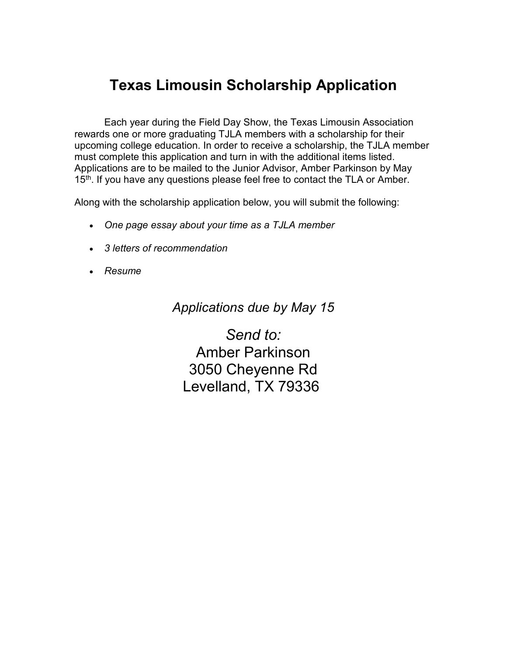# **Texas Limousin Scholarship Application**

Each year during the Field Day Show, the Texas Limousin Association rewards one or more graduating TJLA members with a scholarship for their upcoming college education. In order to receive a scholarship, the TJLA member must complete this application and turn in with the additional items listed. Applications are to be mailed to the Junior Advisor, Amber Parkinson by May 15<sup>th</sup>. If you have any questions please feel free to contact the TLA or Amber.

Along with the scholarship application below, you will submit the following:

- *One page essay about your time as a TJLA member*
- *3 letters of recommendation*
- *Resume*

*Applications due by May 15*

*Send to:* Amber Parkinson 3050 Cheyenne Rd Levelland, TX 79336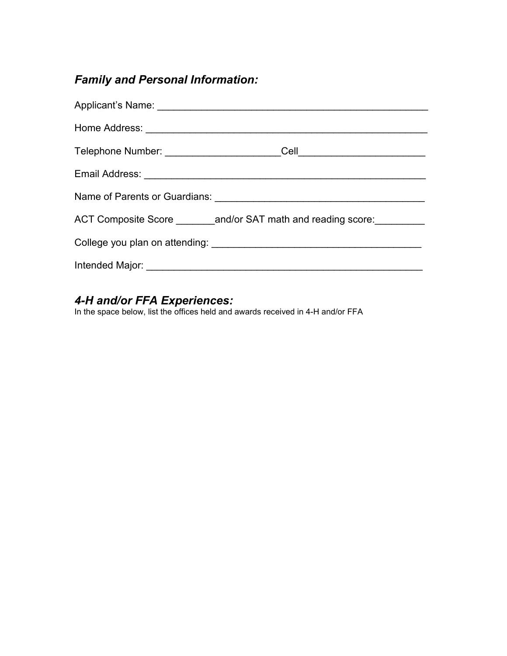## *Family and Personal Information:*

| ACT Composite Score _________ and/or SAT math and reading score: |
|------------------------------------------------------------------|
|                                                                  |
|                                                                  |

### *4-H and/or FFA Experiences:*

In the space below, list the offices held and awards received in 4-H and/or FFA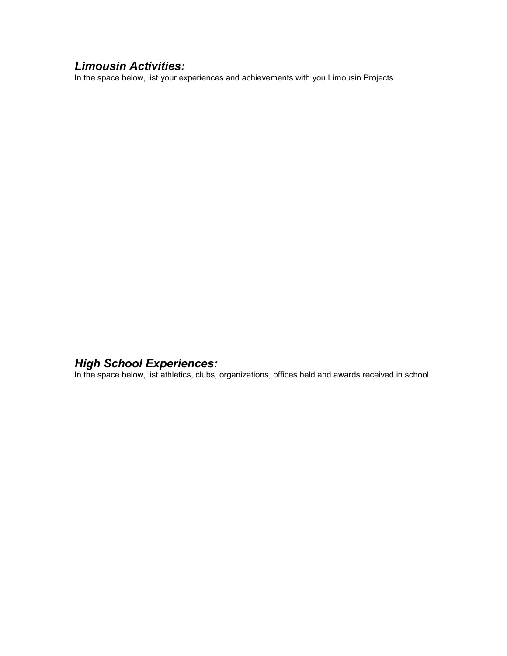## *Limousin Activities:*

In the space below, list your experiences and achievements with you Limousin Projects

#### *High School Experiences:*

In the space below, list athletics, clubs, organizations, offices held and awards received in school